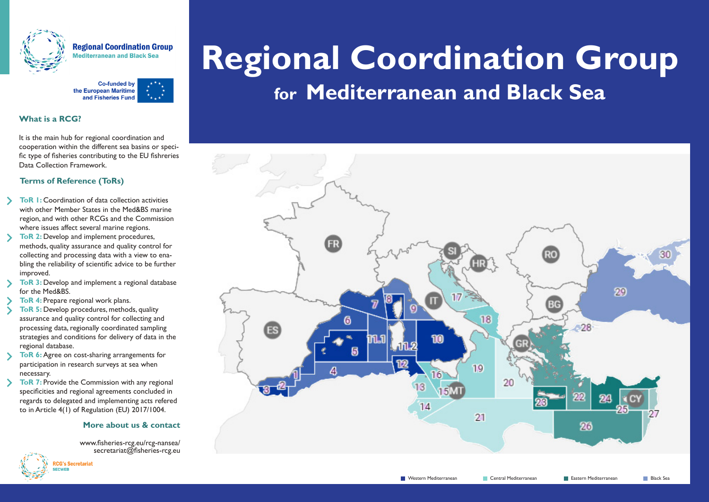

**Regional Coordination Group <u>lediterranean</u>** and Black Sea



### **What is a RCG?**

It is the main hub for regional coordination and cooperation within the different sea basins or specific type of fisheries contributing to the EU fishreries Data Collection Framework.

## **Terms of Reference (ToRs)**

- **ToR 1:** Coordination of data collection activities with other Member States in the Med&BS marine region, and with other RCGs and the Commission where issues affect several marine regions.
- **ToR 2:** Develop and implement procedures, methods, quality assurance and quality control for collecting and processing data with a view to enabling the reliability of scientific advice to be further improved.
- **ToR 3:** Develop and implement a regional database for the Med&BS.
- **ToR 4: Prepare regional work plans.**
- **ToR 5:** Develop procedures, methods, quality assurance and quality control for collecting and processing data, regionally coordinated sampling strategies and conditions for delivery of data in the regional database.
- $\sum$ **ToR 6:** Agree on cost-sharing arrangements for participation in research surveys at sea when necessary.
- **ToR 7:** Provide the Commission with any regional specificities and regional agreements concluded in regards to delegated and implementing acts refered to in Article 4(1) of Regulation (EU) 2017/1004.

#### **More about us & contact**

www.fisheries-rcg.eu/rcg-nansea/ secretariat@fisheries-rcg.eu



# **Regional Coordination Group for Mediterranean and Black Sea**